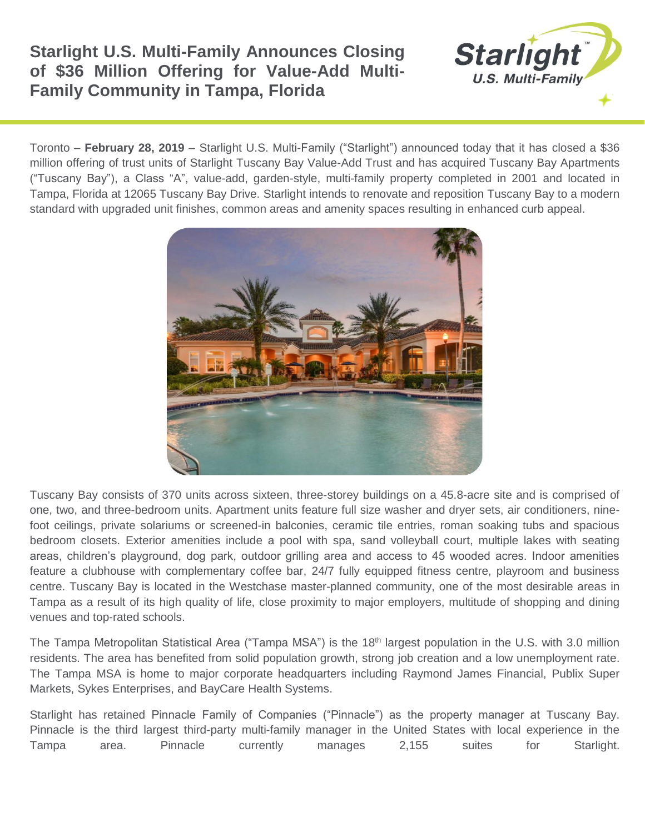## **Starlight U.S. Multi-Family Announces Closing of \$36 Million Offering for Value-Add Multi-Family Community in Tampa, Florida**



Toronto – **February 28, 2019** – Starlight U.S. Multi-Family ("Starlight") announced today that it has closed a \$36 million offering of trust units of Starlight Tuscany Bay Value-Add Trust and has acquired Tuscany Bay Apartments ("Tuscany Bay"), a Class "A", value-add, garden-style, multi-family property completed in 2001 and located in Tampa, Florida at 12065 Tuscany Bay Drive. Starlight intends to renovate and reposition Tuscany Bay to a modern standard with upgraded unit finishes, common areas and amenity spaces resulting in enhanced curb appeal.



Tuscany Bay consists of 370 units across sixteen, three-storey buildings on a 45.8-acre site and is comprised of one, two, and three-bedroom units. Apartment units feature full size washer and dryer sets, air conditioners, ninefoot ceilings, private solariums or screened-in balconies, ceramic tile entries, roman soaking tubs and spacious bedroom closets. Exterior amenities include a pool with spa, sand volleyball court, multiple lakes with seating areas, children's playground, dog park, outdoor grilling area and access to 45 wooded acres. Indoor amenities feature a clubhouse with complementary coffee bar, 24/7 fully equipped fitness centre, playroom and business centre. Tuscany Bay is located in the Westchase master-planned community, one of the most desirable areas in Tampa as a result of its high quality of life, close proximity to major employers, multitude of shopping and dining venues and top-rated schools.

The Tampa Metropolitan Statistical Area ("Tampa MSA") is the 18<sup>th</sup> largest population in the U.S. with 3.0 million residents. The area has benefited from solid population growth, strong job creation and a low unemployment rate. The Tampa MSA is home to major corporate headquarters including Raymond James Financial, Publix Super Markets, Sykes Enterprises, and BayCare Health Systems.

Starlight has retained Pinnacle Family of Companies ("Pinnacle") as the property manager at Tuscany Bay. Pinnacle is the third largest third-party multi-family manager in the United States with local experience in the Tampa area. Pinnacle currently manages 2,155 suites for Starlight.